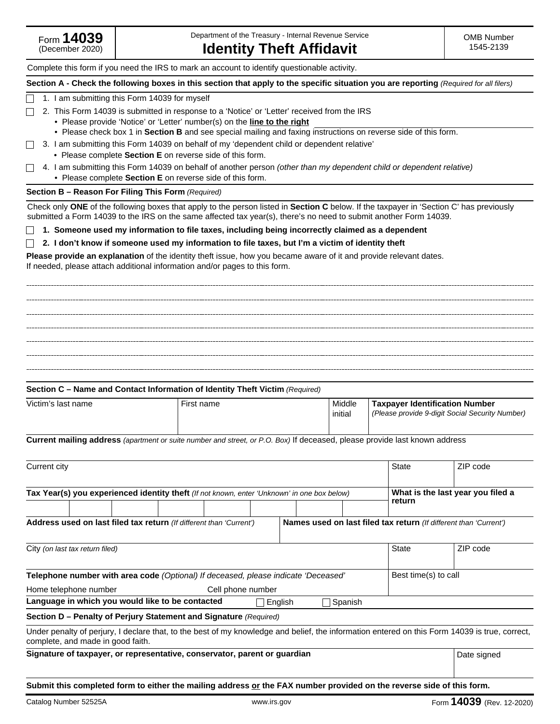# Complete this form if you need the IRS to mark an account to identify questionable activity. **Section A - Check the following boxes in this section that apply to the specific situation you are reporting** *(Required for all filers)* 1. I am submitting this Form 14039 for myself П  $\Box$  2. This Form 14039 is submitted in response to a 'Notice' or 'Letter' received from the IRS • Please provide 'Notice' or 'Letter' number(s) on the **line to the right** • Please check box 1 in **Section B** and see special mailing and faxing instructions on reverse side of this form. 3. I am submitting this Form 14039 on behalf of my 'dependent child or dependent relative' • Please complete **Section E** on reverse side of this form. 4. I am submitting this Form 14039 on behalf of another person *(other than my dependent child or dependent relative)* • Please complete **Section E** on reverse side of this form. **Section B – Reason For Filing This Form** *(Required)* Check only **ONE** of the following boxes that apply to the person listed in **Section C** below. If the taxpayer in 'Section C' has previously submitted a Form 14039 to the IRS on the same affected tax year(s), there's no need to submit another Form 14039. **1. Someone used my information to file taxes, including being incorrectly claimed as a dependent**  $\Box$ **2. I don't know if someone used my information to file taxes, but I'm a victim of identity theft Please provide an explanation** of the identity theft issue, how you became aware of it and provide relevant dates. If needed, please attach additional information and/or pages to this form. **Section C – Name and Contact Information of Identity Theft Victim** *(Required)* Victim's last name **First name First name** Middle **Taxpayer Identification Number** initial *(Please provide 9-digit Social Security Number)* **Current mailing address** *(apartment or suite number and street, or P.O. Box)* If deceased, please provide last known address Current city State ZIP code **Tax Year(s) you experienced identity theft** (If not known, enter 'Unknown' in one box below) **What is the last year you filed a return Names used on last filed tax return** *(If different than 'Current')* **Address used on last filed tax return** *(If different than 'Current')* City *(on last tax return filed)* State ZIP code **Telephone number with area code** *(Optional) If deceased, please indicate 'Deceased'* Best time(s) to call Home telephone number Cell phone number Language in which you would like to be contacted **English English** Spanish **Section D – Penalty of Perjury Statement and Signature** *(Required)* Under penalty of perjury, I declare that, to the best of my knowledge and belief, the information entered on this Form 14039 is true, correct, complete, and made in good faith. **Signature of taxpayer, or representative, conservator, parent or guardian** Date Signed Date signed

**Submit this completed form to either the mailing address or the FAX number provided on the reverse side of this form.**